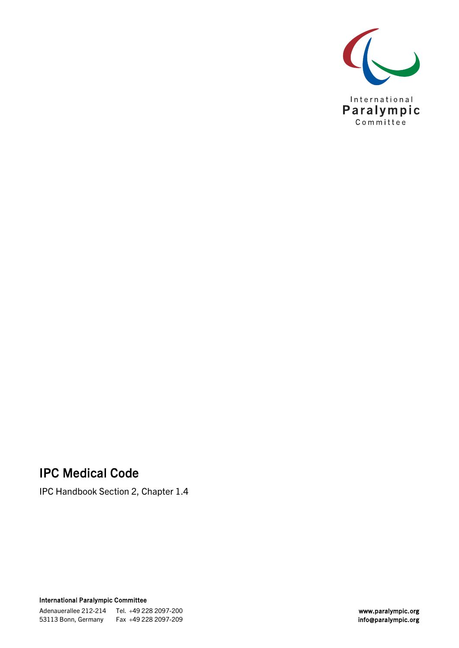

# IPC Medical Code

IPC Handbook Section 2, Chapter 1.4

International Paralympic Committee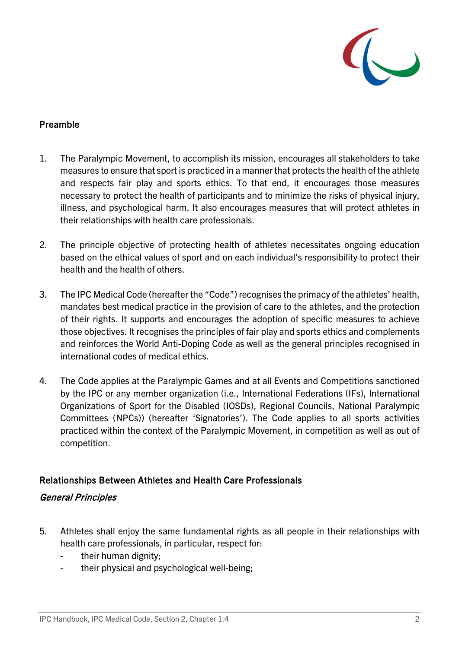

# Preamble

- 1. The Paralympic Movement, to accomplish its mission, encourages all stakeholders to take measures to ensure that sport is practiced in a manner that protects the health of the athlete and respects fair play and sports ethics. To that end, it encourages those measures necessary to protect the health of participants and to minimize the risks of physical injury, illness, and psychological harm. It also encourages measures that will protect athletes in their relationships with health care professionals.
- 2. The principle objective of protecting health of athletes necessitates ongoing education based on the ethical values of sport and on each individual's responsibility to protect their health and the health of others.
- 3. The IPC Medical Code (hereafter the "Code") recognises the primacy of the athletes' health, mandates best medical practice in the provision of care to the athletes, and the protection of their rights. It supports and encourages the adoption of specific measures to achieve those objectives. It recognises the principles of fair play and sports ethics and complements and reinforces the World Anti-Doping Code as well as the general principles recognised in international codes of medical ethics.
- 4. The Code applies at the Paralympic Games and at all Events and Competitions sanctioned by the IPC or any member organization (i.e., International Federations (IFs), International Organizations of Sport for the Disabled (IOSDs), Regional Councils, National Paralympic Committees (NPCs)) (hereafter 'Signatories'). The Code applies to all sports activities practiced within the context of the Paralympic Movement, in competition as well as out of competition.

## Relationships Between Athletes and Health Care Professionals

## General Principles

- 5. Athletes shall enjoy the same fundamental rights as all people in their relationships with health care professionals, in particular, respect for:
	- their human dignity;
	- their physical and psychological well-being;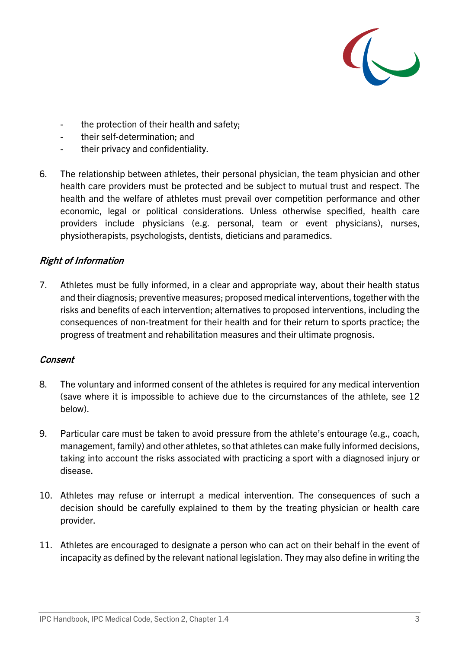

- the protection of their health and safety;
- their self-determination; and
- their privacy and confidentiality.
- 6. The relationship between athletes, their personal physician, the team physician and other health care providers must be protected and be subject to mutual trust and respect. The health and the welfare of athletes must prevail over competition performance and other economic, legal or political considerations. Unless otherwise specified, health care providers include physicians (e.g. personal, team or event physicians), nurses, physiotherapists, psychologists, dentists, dieticians and paramedics.

## Right of Information

7. Athletes must be fully informed, in a clear and appropriate way, about their health status and their diagnosis; preventive measures; proposed medical interventions, together with the risks and benefits of each intervention; alternatives to proposed interventions, including the consequences of non-treatment for their health and for their return to sports practice; the progress of treatment and rehabilitation measures and their ultimate prognosis.

## Consent

- 8. The voluntary and informed consent of the athletes is required for any medical intervention (save where it is impossible to achieve due to the circumstances of the athlete, see 12 below).
- 9. Particular care must be taken to avoid pressure from the athlete's entourage (e.g., coach, management, family) and other athletes, so that athletes can make fully informed decisions, taking into account the risks associated with practicing a sport with a diagnosed injury or disease.
- 10. Athletes may refuse or interrupt a medical intervention. The consequences of such a decision should be carefully explained to them by the treating physician or health care provider.
- 11. Athletes are encouraged to designate a person who can act on their behalf in the event of incapacity as defined by the relevant national legislation. They may also define in writing the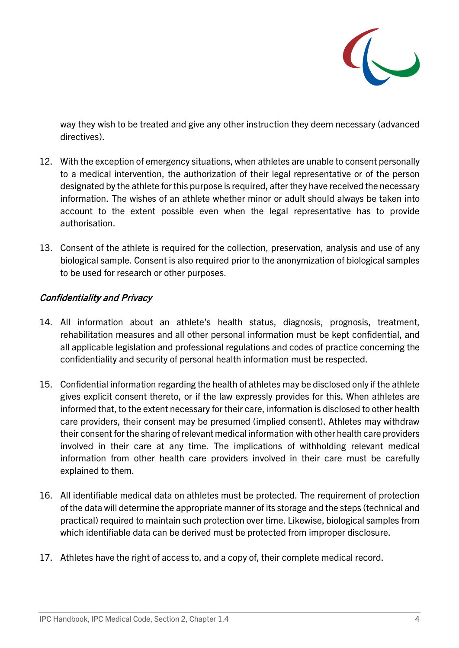

way they wish to be treated and give any other instruction they deem necessary (advanced directives).

- 12. With the exception of emergency situations, when athletes are unable to consent personally to a medical intervention, the authorization of their legal representative or of the person designated by the athlete for this purpose is required, after they have received the necessary information. The wishes of an athlete whether minor or adult should always be taken into account to the extent possible even when the legal representative has to provide authorisation.
- 13. Consent of the athlete is required for the collection, preservation, analysis and use of any biological sample. Consent is also required prior to the anonymization of biological samples to be used for research or other purposes.

## Confidentiality and Privacy

- 14. All information about an athlete's health status, diagnosis, prognosis, treatment, rehabilitation measures and all other personal information must be kept confidential, and all applicable legislation and professional regulations and codes of practice concerning the confidentiality and security of personal health information must be respected.
- 15. Confidential information regarding the health of athletes may be disclosed only if the athlete gives explicit consent thereto, or if the law expressly provides for this. When athletes are informed that, to the extent necessary for their care, information is disclosed to other health care providers, their consent may be presumed (implied consent). Athletes may withdraw their consent for the sharing of relevant medical information with other health care providers involved in their care at any time. The implications of withholding relevant medical information from other health care providers involved in their care must be carefully explained to them.
- 16. All identifiable medical data on athletes must be protected. The requirement of protection of the data will determine the appropriate manner of its storage and the steps (technical and practical) required to maintain such protection over time. Likewise, biological samples from which identifiable data can be derived must be protected from improper disclosure.
- 17. Athletes have the right of access to, and a copy of, their complete medical record.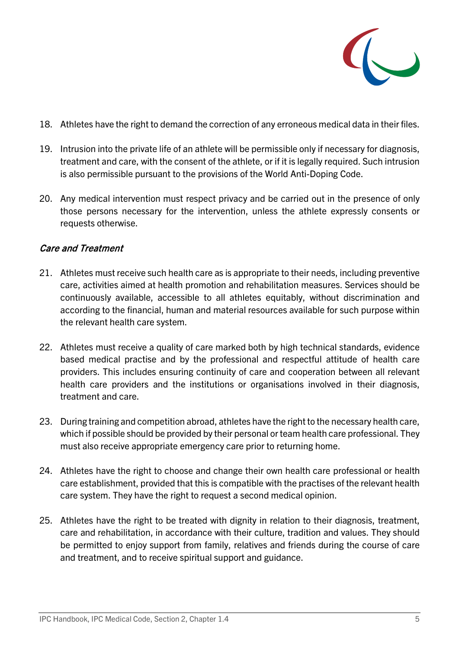

- 18. Athletes have the right to demand the correction of any erroneous medical data in their files.
- 19. Intrusion into the private life of an athlete will be permissible only if necessary for diagnosis, treatment and care, with the consent of the athlete, or if it is legally required. Such intrusion is also permissible pursuant to the provisions of the World Anti-Doping Code.
- 20. Any medical intervention must respect privacy and be carried out in the presence of only those persons necessary for the intervention, unless the athlete expressly consents or requests otherwise.

## Care and Treatment

- 21. Athletes must receive such health care as is appropriate to their needs, including preventive care, activities aimed at health promotion and rehabilitation measures. Services should be continuously available, accessible to all athletes equitably, without discrimination and according to the financial, human and material resources available for such purpose within the relevant health care system.
- 22. Athletes must receive a quality of care marked both by high technical standards, evidence based medical practise and by the professional and respectful attitude of health care providers. This includes ensuring continuity of care and cooperation between all relevant health care providers and the institutions or organisations involved in their diagnosis, treatment and care.
- 23. During training and competition abroad, athletes have the right to the necessary health care, which if possible should be provided by their personal or team health care professional. They must also receive appropriate emergency care prior to returning home.
- 24. Athletes have the right to choose and change their own health care professional or health care establishment, provided that this is compatible with the practises of the relevant health care system. They have the right to request a second medical opinion.
- 25. Athletes have the right to be treated with dignity in relation to their diagnosis, treatment, care and rehabilitation, in accordance with their culture, tradition and values. They should be permitted to enjoy support from family, relatives and friends during the course of care and treatment, and to receive spiritual support and guidance.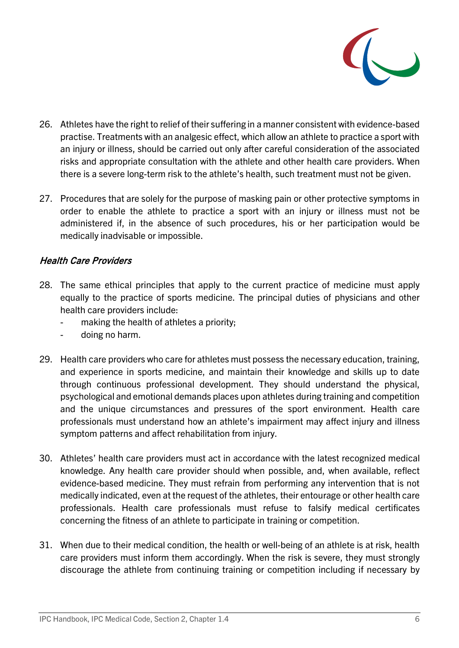

- 26. Athletes have the right to relief of their suffering in a manner consistent with evidence-based practise. Treatments with an analgesic effect, which allow an athlete to practice a sport with an injury or illness, should be carried out only after careful consideration of the associated risks and appropriate consultation with the athlete and other health care providers. When there is a severe long-term risk to the athlete's health, such treatment must not be given.
- 27. Procedures that are solely for the purpose of masking pain or other protective symptoms in order to enable the athlete to practice a sport with an injury or illness must not be administered if, in the absence of such procedures, his or her participation would be medically inadvisable or impossible.

## Health Care Providers

- 28. The same ethical principles that apply to the current practice of medicine must apply equally to the practice of sports medicine. The principal duties of physicians and other health care providers include:
	- making the health of athletes a priority;
	- doing no harm.
- 29. Health care providers who care for athletes must possess the necessary education, training, and experience in sports medicine, and maintain their knowledge and skills up to date through continuous professional development. They should understand the physical, psychological and emotional demands places upon athletes during training and competition and the unique circumstances and pressures of the sport environment. Health care professionals must understand how an athlete's impairment may affect injury and illness symptom patterns and affect rehabilitation from injury.
- 30. Athletes' health care providers must act in accordance with the latest recognized medical knowledge. Any health care provider should when possible, and, when available, reflect evidence-based medicine. They must refrain from performing any intervention that is not medically indicated, even at the request of the athletes, their entourage or other health care professionals. Health care professionals must refuse to falsify medical certificates concerning the fitness of an athlete to participate in training or competition.
- 31. When due to their medical condition, the health or well-being of an athlete is at risk, health care providers must inform them accordingly. When the risk is severe, they must strongly discourage the athlete from continuing training or competition including if necessary by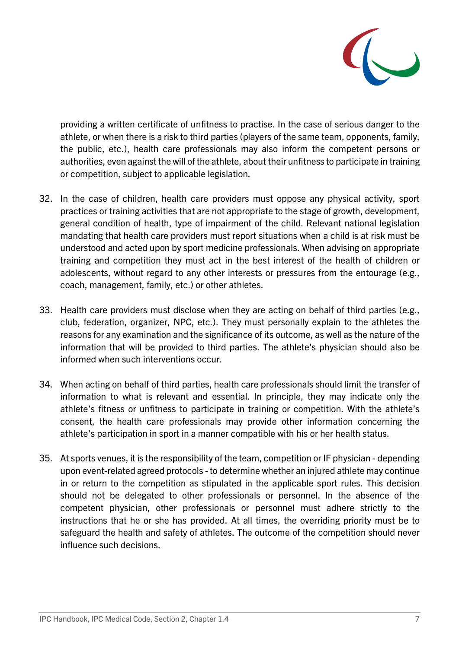

providing a written certificate of unfitness to practise. In the case of serious danger to the athlete, or when there is a risk to third parties (players of the same team, opponents, family, the public, etc.), health care professionals may also inform the competent persons or authorities, even against the will of the athlete, about their unfitness to participate in training or competition, subject to applicable legislation.

- 32. In the case of children, health care providers must oppose any physical activity, sport practices or training activities that are not appropriate to the stage of growth, development, general condition of health, type of impairment of the child. Relevant national legislation mandating that health care providers must report situations when a child is at risk must be understood and acted upon by sport medicine professionals. When advising on appropriate training and competition they must act in the best interest of the health of children or adolescents, without regard to any other interests or pressures from the entourage (e.g., coach, management, family, etc.) or other athletes.
- 33. Health care providers must disclose when they are acting on behalf of third parties (e.g., club, federation, organizer, NPC, etc.). They must personally explain to the athletes the reasons for any examination and the significance of its outcome, as well as the nature of the information that will be provided to third parties. The athlete's physician should also be informed when such interventions occur.
- 34. When acting on behalf of third parties, health care professionals should limit the transfer of information to what is relevant and essential. In principle, they may indicate only the athlete's fitness or unfitness to participate in training or competition. With the athlete's consent, the health care professionals may provide other information concerning the athlete's participation in sport in a manner compatible with his or her health status.
- 35. At sports venues, it is the responsibility of the team, competition or IF physician depending upon event-related agreed protocols - to determine whether an injured athlete may continue in or return to the competition as stipulated in the applicable sport rules. This decision should not be delegated to other professionals or personnel. In the absence of the competent physician, other professionals or personnel must adhere strictly to the instructions that he or she has provided. At all times, the overriding priority must be to safeguard the health and safety of athletes. The outcome of the competition should never influence such decisions.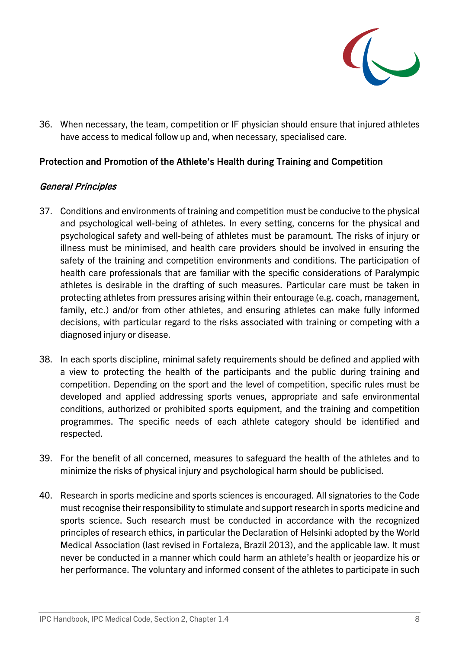

36. When necessary, the team, competition or IF physician should ensure that injured athletes have access to medical follow up and, when necessary, specialised care.

# Protection and Promotion of the Athlete's Health during Training and Competition

## General Principles

- 37. Conditions and environments of training and competition must be conducive to the physical and psychological well-being of athletes. In every setting, concerns for the physical and psychological safety and well-being of athletes must be paramount. The risks of injury or illness must be minimised, and health care providers should be involved in ensuring the safety of the training and competition environments and conditions. The participation of health care professionals that are familiar with the specific considerations of Paralympic athletes is desirable in the drafting of such measures. Particular care must be taken in protecting athletes from pressures arising within their entourage (e.g. coach, management, family, etc.) and/or from other athletes, and ensuring athletes can make fully informed decisions, with particular regard to the risks associated with training or competing with a diagnosed injury or disease.
- 38. In each sports discipline, minimal safety requirements should be defined and applied with a view to protecting the health of the participants and the public during training and competition. Depending on the sport and the level of competition, specific rules must be developed and applied addressing sports venues, appropriate and safe environmental conditions, authorized or prohibited sports equipment, and the training and competition programmes. The specific needs of each athlete category should be identified and respected.
- 39. For the benefit of all concerned, measures to safeguard the health of the athletes and to minimize the risks of physical injury and psychological harm should be publicised.
- 40. Research in sports medicine and sports sciences is encouraged. All signatories to the Code must recognise their responsibility to stimulate and support research in sports medicine and sports science. Such research must be conducted in accordance with the recognized principles of research ethics, in particular the Declaration of Helsinki adopted by the World Medical Association (last revised in Fortaleza, Brazil 2013), and the applicable law. It must never be conducted in a manner which could harm an athlete's health or jeopardize his or her performance. The voluntary and informed consent of the athletes to participate in such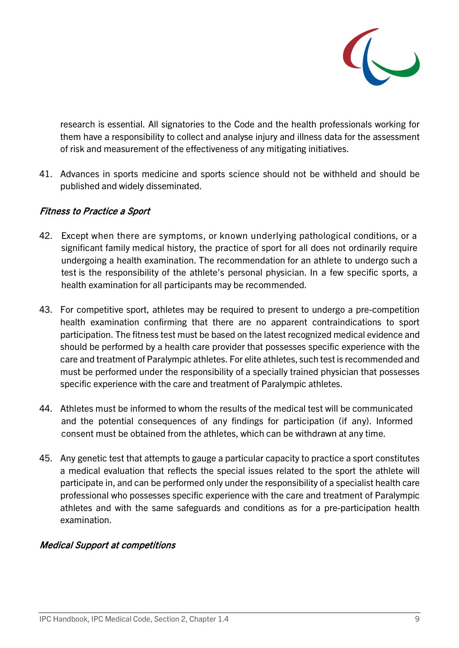

research is essential. All signatories to the Code and the health professionals working for them have a responsibility to collect and analyse injury and illness data for the assessment of risk and measurement of the effectiveness of any mitigating initiatives.

41. Advances in sports medicine and sports science should not be withheld and should be published and widely disseminated.

# Fitness to Practice a Sport

- 42. Except when there are symptoms, or known underlying pathological conditions, or a significant family medical history, the practice of sport for all does not ordinarily require undergoing a health examination. The recommendation for an athlete to undergo such a test is the responsibility of the athlete's personal physician. In a few specific sports, a health examination for all participants may be recommended.
- 43. For competitive sport, athletes may be required to present to undergo a pre-competition health examination confirming that there are no apparent contraindications to sport participation. The fitness test must be based on the latest recognized medical evidence and should be performed by a health care provider that possesses specific experience with the care and treatment of Paralympic athletes. For elite athletes, such test is recommended and must be performed under the responsibility of a specially trained physician that possesses specific experience with the care and treatment of Paralympic athletes.
- 44. Athletes must be informed to whom the results of the medical test will be communicated and the potential consequences of any findings for participation (if any). Informed consent must be obtained from the athletes, which can be withdrawn at any time.
- 45. Any genetic test that attempts to gauge a particular capacity to practice a sport constitutes a medical evaluation that reflects the special issues related to the sport the athlete will participate in, and can be performed only under the responsibility of a specialist health care professional who possesses specific experience with the care and treatment of Paralympic athletes and with the same safeguards and conditions as for a pre-participation health examination.

## Medical Support at competitions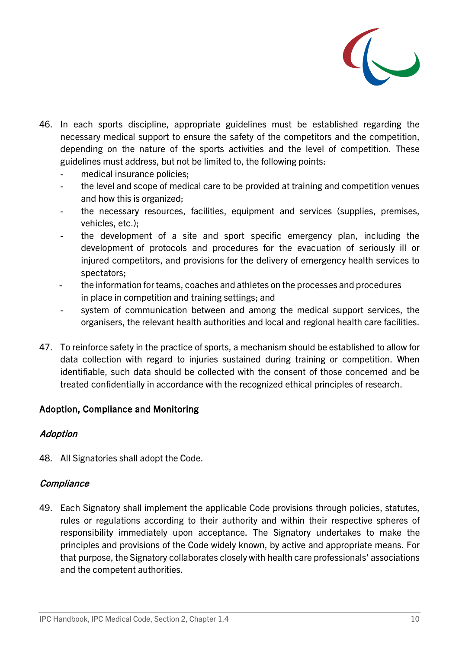

- 46. In each sports discipline, appropriate guidelines must be established regarding the necessary medical support to ensure the safety of the competitors and the competition, depending on the nature of the sports activities and the level of competition. These guidelines must address, but not be limited to, the following points:
	- medical insurance policies;
	- the level and scope of medical care to be provided at training and competition venues and how this is organized;
	- the necessary resources, facilities, equipment and services (supplies, premises, vehicles, etc.);
	- the development of a site and sport specific emergency plan, including the development of protocols and procedures for the evacuation of seriously ill or injured competitors, and provisions for the delivery of emergency health services to spectators;
	- the information for teams, coaches and athletes on the processes and procedures in place in competition and training settings; and
	- system of communication between and among the medical support services, the organisers, the relevant health authorities and local and regional health care facilities.
- 47. To reinforce safety in the practice of sports, a mechanism should be established to allow for data collection with regard to injuries sustained during training or competition. When identifiable, such data should be collected with the consent of those concerned and be treated confidentially in accordance with the recognized ethical principles of research.

# Adoption, Compliance and Monitoring

## **Adoption**

48. All Signatories shall adopt the Code.

## **Compliance**

49. Each Signatory shall implement the applicable Code provisions through policies, statutes, rules or regulations according to their authority and within their respective spheres of responsibility immediately upon acceptance. The Signatory undertakes to make the principles and provisions of the Code widely known, by active and appropriate means. For that purpose, the Signatory collaborates closely with health care professionals' associations and the competent authorities.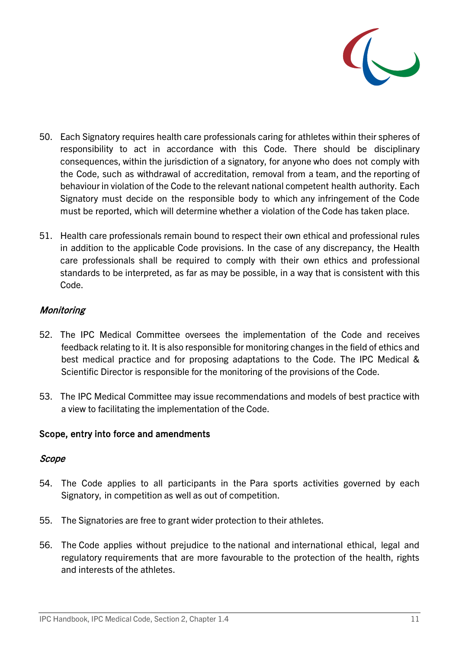

- 50. Each Signatory requires health care professionals caring for athletes within their spheres of responsibility to act in accordance with this Code. There should be disciplinary consequences, within the jurisdiction of a signatory, for anyone who does not comply with the Code, such as withdrawal of accreditation, removal from a team, and the reporting of behaviour in violation of the Code to the relevant national competent health authority. Each Signatory must decide on the responsible body to which any infringement of the Code must be reported, which will determine whether a violation of the Code has taken place.
- 51. Health care professionals remain bound to respect their own ethical and professional rules in addition to the applicable Code provisions. In the case of any discrepancy, the Health care professionals shall be required to comply with their own ethics and professional standards to be interpreted, as far as may be possible, in a way that is consistent with this Code.

## Monitoring

- 52. The IPC Medical Committee oversees the implementation of the Code and receives feedback relating to it. It is also responsible for monitoring changes in the field of ethics and best medical practice and for proposing adaptations to the Code. The IPC Medical & Scientific Director is responsible for the monitoring of the provisions of the Code.
- 53. The IPC Medical Committee may issue recommendations and models of best practice with a view to facilitating the implementation of the Code.

## Scope, entry into force and amendments

## Scope

- 54. The Code applies to all participants in the Para sports activities governed by each Signatory, in competition as well as out of competition.
- 55. The Signatories are free to grant wider protection to their athletes.
- 56. The Code applies without prejudice to the national and international ethical, legal and regulatory requirements that are more favourable to the protection of the health, rights and interests of the athletes.